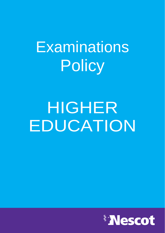# Examinations **Policy**

# HIGHER EDUCATION

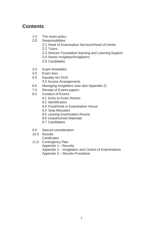# **Contents**

- 1.0 The exam policy<br>2.0 Responsibilities
- **Responsibilities** 
	- 2.1 Head of Examination Services/Head of Centre
	- 2.2 Tutors
	- 2.3 Director Foundation learning and Learning Support
	- 2.4 Senior Invigilator/Invigilators
	- 2.5 Candidates
- 3.0 Exam timetables
- 4.0 Exam fees
- 5.0 Equality Act 2010
	- 5.5 Access Arrangements
- 6.0 Managing invigilators (see also Appendix 2)
- 7.0 Receipt of Exams papers
- 8.0 Conduct of Exams
	- 8.1 Entry to Exam Rooms
	- 8.2 Identification
	- 8.3 Food/Drink in Examination Venue
	- 8.4 Seat Allocation
	- 8.5 Leaving Examination Rooms
	- 8.6 Unauthorised Materials
	- 8.7 Candidates
- 9.0 Special consideration
- 10.0 Results
	- **Certificates**
- 11.0 Contingency Plan Appendix 1 –Security Appendix 2 – Invigilation and Control of Examinations Appendix 3 – Results Procedure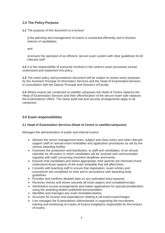# **1.0 The Policy Purpose**

**1.1** The purpose of this document is to ensure

(i) the planning and management of exams is conducted efficiently and in thebest interest of candidates;

and.

(ii) ensure the operation of an efficient, secure exam system with clear guidelines for all relevant staff.

**1.2** It is the responsibility of everyone involved in the centre's exam processes toread, understand and implement this policy.

**1.3** The exam policy and procedures document will be subject to review every twoyears by the Assistant Principal of Information Services and the Head of Examination Services in consultation with the Deputy Principal and Directors ofFaculty.

**1.4** Where exams are conducted at satellite campuses the Head of Centre replaces the Head of Examination Services and their office/location of the secure exam safe replaces the Examinations Office. The same audit trail and security arrangements apply to all campuses.

# **2.0 Exam responsibilities**

# **2.1 Head of Examination Services (Head of Centre in satellite campuses)**

Manages the administration of public and internal exams:

- Advises the senior management team, subject and class tutors and other relevant support staff on annual exam timetables and application procedures as set by the various awarding bodies.
- Oversees the production and distribution, to staff and candidates, of an annual calendar for all exams in which candidates will be involved and communicates regularly with staff concerning imminent deadlines and events.
- Ensures that candidates and where appropriate, their parents are informed ofand understand those aspects of the exam timetable that will affect them.
- Consults with teaching staff to ensure that registration, exam entries and coursework are completed on time and in accordance with awarding body guidelines.
- Provides and confirms detailed data on any estimated entry requests.
- Receives checks and stores securely all exam papers and completed scripts.
- Administers access arrangements and makes applications for specialconsideration using the awarding bodies published documentation.
- Identifies and manages any exam timetableclashes.
- Accounts for income and expenditures relating to all examcosts/charges.
- Line manages the Examinations Administrator in organising the recruitment, training and monitoring of a team of Exams Invigilators responsible for theconduct of exams.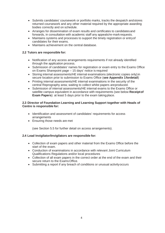- Submits candidates' coursework or portfolio marks, tracks the despatch andstores returned coursework and any other material required by the appropriate awarding bodies correctly and on schedule.
- Arranges for dissemination of exam results and certificates to candidatesand forwards, in consultation with academic staff any appeals/re-mark requests.
- Maintains systems and processes to support the timely registration or entryof candidates for their exams.
- Maintains achievement on the central database.

#### **2.2 Tutors are responsible for:**

- Notification of any access arrangements requirements if not already identified through the application process.
- Submission of candidates' names for registration or exam entry to the Exams Office on Exams Sharepoint page – 15 days' notice is required
- Storing internal assessments/HE internal examinations (electronic copies only)in secure location prior to submission to Exams Office (**see Appendix 1fordetail**)
- Printing internal assessments/HE internal examinations in the security of the central Reprography area; waiting to collect whilst papers areproduced.
- Submission of internal assessments/HE internal exams to the Exams Office or satellite campus equivalent in accordance with requirements (see below **Receiptof Exam Papers**): at least 5 days prior to the exam takingplace.

#### **2.3 Director of Foundation Learning and Learning Support together with Heads of Centre is responsible for:**

- Identification and assessment of candidates' requirements for access arrangements
- Ensuring those needs are met

(see Section 5.5 for further detail on access arrangements).

#### **2.4 Lead Invigilator/Invigilators are responsible for:**

- Collection of exam papers and other material from the Exams Office before the start of the exam.
- Conduction of examinations in accordance with relevant Joint Curriculum Qualifications Regulations and/or local procedures
- Collection of all exam papers in the correct order at the end of the exam and their secure return to the ExamsOffice.
- Submitting a report if any breach of conditions or unusual activityoccurs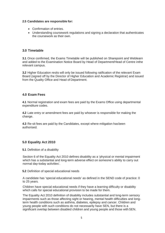#### **2.5 Candidates are responsible for:**

- Confirmation of entries.
- Understanding coursework regulations and signing a declaration that authenticates the coursework as their own.

# **3.0 Timetable**

**3.1** Once confirmed, the Exams Timetable will be published on Sharepoint and Weblearn and added to the Examination Notice Board by Head of Department/Head of Centre inthe relevant campus.

**3.2** Higher Education resits will only be issued following ratification of the relevant Exam Board (signed off by the Director of Higher Education and Academic Registrar) and issued from the Quality Office and Head of Department.

# **4.0 Exam Fees**

**4.1** Normal registration and exam fees are paid by the Exams Office using departmental expenditure codes.

**4.2** Late entry or amendment fees are paid by whoever is responsible for making the change.

**4.3** Re-sit fees are paid by the Candidates, except where mitigation hasbeen authorised.

# **5.0 Equality Act 2010**

**5.1** Definition of a disability

Section 6 of the Equality Act 2010 defines disability as a 'physical or mental impairment which has a substantial and long-term adverse effect on someone's ability to carry out normal day-today activities'.

**5.2** Definition of special educational needs

A candidate has 'special educational needs' as defined in the SEND code of practice: 0 to 25 years.

Children have special educational needs if they have a learning difficulty or disability which calls for special educational provision to be made for them.

The Equality Act 2010 definition of disability includes substantial and long-term sensory impairments such as those affecting sight or hearing, mental health difficulties and longterm health conditions such as asthma, diabetes, epilepsy and cancer. Children and young people with such conditions do not necessarily have SEN, but there is a significant overlap between disabled children and young people and those with SEN.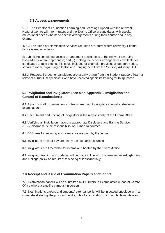# **5.3 Access arrangements**

5.5.1 The Director of Foundation Learning and Learning Support with the relevant Head of Centre will inform tutors and the Exams Office of candidates with special educational needs who need access arrangements during their course and in any exams.

5.5.2 The Head of Examination Services (or Head of Centre where relevant)/ Exams Office is responsible for

(i) submitting completed access arrangement applications to the relevant awarding bodies/HEIs where appropriate; and (ii) making the access arrangements available for candidates to take exams, this could include, for example, providing a Reader, Scribe, separate room, organising a laptop or arranging help from the Sensory Advisory Unit.

5.5.3 Readers/Scribes for candidates are usually drawn from the Student Support Teamor relevant curriculum specialists who have received specialist training for thispurpose.

## **6.0 Invigilation and Invigilators (see also Appendix 2 Invigilation and Control of Examinations)**

**6.1** A pool of staff on permanent contracts are used to invigilate internal andexternal examinations.

**6.2** Recruitment and training of invigilators is the responsibility of the ExamsOffice.

**6.3** Verifying all Invigilators have the appropriate Disclosure and Barring Service (DBS) clearance is the responsibility of Human Resources.

**6.4** DBS fees for securing such clearance are paid by thecentre.

**6.5** Invigilators rates of pay are set by the Human Resources.

**6.6** Invigilators are timetabled for exams and briefed by the ExamsOffice.

**6.7** Invigilator training and updates will be made in line with the relevant awardingbodies and College policy as required; this being at least annually.

# **7.0 Receipt and Issue of Examination Papers and Scripts**

**7.1** Examination papers will be submitted by HE tutors to Exams office (Head of Centre Office where a satellite campus) in person.

**7.2** Examinations papers and students' attendance list will be in sealed envelope with a cover sheet stating: the programme title, title of examination unit/module, level, dateand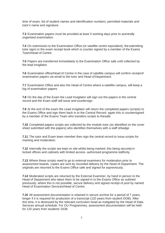time of exam, list of student names and identification numbers, permitted materials and tutor's name and signature.

**7.3** Examination papers must be provided at least 5 working days prior to acentrally organised examination.

**7.4** On submission to the Examination Office (or satellite centre equivalent), the submitting tutor signs in the exam receipt book which is counter signed by a member of the Exams Team/Head of Centre

**7.5** Papers are transferred immediately to the Examination Office safe until collected by the lead invigilator.

**7.6** Examination office/Head of Centre in the case of satellite campus will confirm receiptof examination papers via email to the tutor and Head of Department.

**7.7** Examination Office and also the Head of Centre where a satellite campus, will keep a log of examination papers

**7.8** On the day of the Exam the Lead Invigilator will sign out the papers in the central record and the Exam staff will issue and countersign

**7.9** At the end of the exam the Lead invigilator will return the completed papers (scripts) to the Exams Office and sign them back in to the Central Record- again this is countersigned by a member of the Exams Team who transfers scripts to thesafe.

**7.10** Completed papers scripts are collected by the module tutor (as identified on the cover sheet submitted with the papers) who identifies themselves with a staff idbadge

**7.11** The tutor and Exam team member then sign the central record to issue scripts for marking and moderation.

**7.12** Internally the scripts are kept on site whilst being marked, this being securely in locked offices and cabinets with limited access- authorised programme staffonly.

**7.13** Where these scripts need to go to external examiners for moderation prior to assessment boards, copies are sent by recorded delivery by the Head of Department. The originals are returned to the Exams Office safe and signed for aspreviously.

**7.14** Moderated scripts are returned by the External Examiner, by hand in person to the Head of Department who takes them to be signed in to the Exams Office as outlined previously; where this is not possible, secure delivery and signed receipt of post by named Head of Examination Services/Head of Centre.

**7.15** All assessment documentation is retained in secure archive for a period of 7 years, longer if it is required for production of a transcript (120 years from student DOB). After this time, it is destroyed by the relevant curriculum head as instigated by the Head of Data Services annual schedule. For OU Programmes, assessment documentation will be held for 120 years from students' DOB.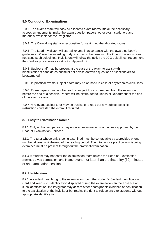# **8.0 Conduct of Examinations**

8.0.1 The exams team will book all allocated exam rooms, make the necessary access arrangements, make the exam question papers, other exam stationery and materials available for the Invigilator.

8.0.2 The Caretaking staff are responsible for setting up the allocated rooms.

8.0.3 The Lead Invigilator will start all exams in accordance with the awarding body's guidelines. Where the awarding body, such as is the case with the Open University does not issue such guidelines, Invigilators will follow the policy the JCQ guidelines; recommend the Centres procedures as set out in Appendix 2.

8.0.4 Subject staff may be present at the start of the exam to assist with identificationof candidates but must not advise on which questions or sections are to be attempted.

8.0.5 In practical exams subject tutors may be on hand in case of any technicaldifficulties.

8.0.6 Exam papers must not be read by subject tutor or removed from the exam room before the end of a session. Papers will be distributed to Heads of Department at the end of the exam session.

8.0.7 A relevant subject tutor may be available to read out any subject-specific instructions and start the exam, if required.

# **8.1 Entry to Examination Rooms**

8.1.1 Only authorised persons may enter an examination room unless approved bythe Head of Examination Services.

8.1.2 The tutor whose unit is being examined must be contactable by a provided phone number at least until the end of the reading period. The tutor whose practical unit isbeing examined must be present throughout the practical examination.

8.1.3 A student may not enter the examination room unless the Head of Examination Services gives permission, and in any event, not later than the first thirty (30) minutes of an examination session.

#### **8.2 Identification**

8.2.1 A student must bring to the examination room the student's Student Identification Card and keep such identification displayed during the examination. In the absence of such identification, the invigilator may accept other photographic evidence ofidentification to the satisfaction of the invigilator but retains the right to refuse entry to students without appropriate identification.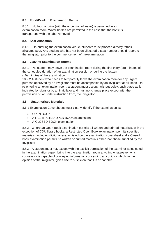# **8.3 Food/Drink in Examination Venue**

8.3.1 No food or drink (with the exception of water) is permitted in an examination room. Water bottles are permitted in the case that the bottle is transparent, with the label removed.

# **8.4 Seat Allocation**

8.4.1 On entering the examination venue, students must proceed directly totheir allocated seat. Any student who has not been allocated a seat number should report to the Invigilator prior to the commencement of the examination.

# **8.5 Leaving Examination Rooms**

8.5.1 No student may leave the examination room during the first thirty (30) minutes of the scheduled duration of an examination session or during the lastten (10) minutes of the examination.

18.2.2 A student who needs to temporarily leave the examination room for any urgent purpose approved by an invigilator must be accompanied by an invigilator at all times. On re-entering an examination room, a student must occupy, without delay, such place as is indicated by signs or by an invigilator and must not change place except with the permission of, or under instruction from, the invigilator.

# **8.6 Unauthorised Materials**

8.6.1 Examination Coversheets must clearly identify if the examination is:

- OPEN BOOK
- A RESTRICTED OPEN BOOK examination
- A CLOSED BOOK examination.

8.6.2 Where an Open Book examination permits all written and printed materials, with the exception of CDU library books, a Restricted Open Book examination permits specified materials (including dictionaries), as listed on the examination coversheet and a Closed book examination permits no written or printed materials other than those supplied by the Invigilator.

8.6.3 A student must not, except with the explicit permission of the examiner asindicated in the examination paper, bring into the examination room anything whatsoever which conveys or is capable of conveying information concerning any unit, or which, in the opinion of the invigilator, gives rise to suspicion that it is so capable.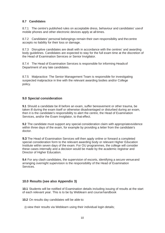#### **8.7 Candidates**

8.7.1 The centre's published rules on acceptable dress, behaviour and candidates' useof mobile phones and other electronic devices apply at all times.

8.7.2 Candidates' personal belongings remain their own responsibility and thecentre accepts no liability for their loss or damage.

8.7.3 Disruptive candidates are dealt with in accordance with the centres' and awarding body guidelines. Candidates are expected to stay for the full exam time at the discretion of the Head of Examination Services or Senior Invigilator.

8.7.4 The Head of Examination Services is responsible for informing Headsof Department of any late candidates.

8.7.5 Malpractice: The Senior Management Team is responsible for investigating suspected malpractice in line with the relevant awarding bodies and/or College policy.

# **9.0 Special consideration**

**9.1** Should a candidate be ill before an exam, suffer bereavement or other trauma, be taken ill during the exam itself or otherwise disadvantaged or disturbed during an exam, then it is the candidate's responsibility to alert the centre, the Head of Examination Services, and/or the Exam Invigilator, to that effect.

**9.2** The candidate must support any special consideration claim with appropriate evidence within three days of the exam, for example by providing a letter from the candidate's doctor.

**9.3** The Head of Examination Services will then apply online or forward a completed special consideration form to the relevant awarding body or relevant Higher Education Institute within seven days of the exam. For OU programmes, the college will consider these cases internally and a decision would be made by the academic registrar and Director of Higher Education.

**9.4** For any clash candidates, the supervision of escorts, identifying a secure venueand arranging overnight supervision is the responsibility of the Head of Examination Services.

# **10.0 Results (see also Appendix 3)**

**10.1** Students will be notified of Examination details including issuing of results at the start of each relevant year. This is to be by Weblearn and coursehandbook

**10.2** On results day candidates will be able to:

(i) view their results via Weblearn using their individual login details;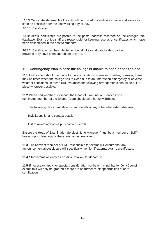**10.3** Candidate statements of results will be posted to candidate's home addresses as soon as possible after the last working day of July.

10.3.1 Certificates

All students' certificates are posted to the postal address recorded on the colleges MIS database. Exams office staff are responsible for keeping records of certificates which have been despatched in the post to students.

10.3.2 Certificates can be collected on behalf of a candidate by thirdparties, provided they have been authorised to do so.

# **11.0 Contingency Plan in case the college is unable to open or has toclose**

**11.1** Every effort should be made to run examinations wherever possible; however, there may be times when the college has to close due to an unforeseen emergency or adverse weather conditions. In these circumstances the following arrangements should be put in place wherever possible.

**11.2** When bad weather is forecast the Head of Examination Services or a nominated member of the Exams Team should take home withthem:

- . The following day's candidate list and details of any scheduled external exams.
- . Invigilators list and contact details.
- . List of awarding bodies plus contact details.

Ensure the Head of Examination Services' Line Manager (must be a member of SMT) has an up to date copy of the examination timetable.

**11.3** The relevant member of SMT responsible for exams will ensure that any announcement about closure will specifically mention if external exams areaffected.

**11.4** Start exams as early as possible to allow for departure.

**11.5** If necessary apply for special consideration but bear in mind that for JointCouncil exams this will only be granted if there are no further re-sit opportunities prior to certification.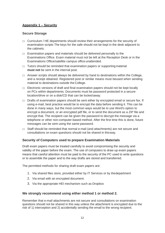# **Appendix 1 – Security**

# **Secure Storage**

- $\Box$  Curriculum / HE departments should review their arrangements for the security of examination scripts The keys for the safe should not be kept in the desk adjacent to the cabinets.
- $\Box$  Examination papers and materials should be delivered personally to the Examinations Office. Exam material must not be left at the Reception Desk or in the Examinations Office/satellite campus office unattended.
- $\Box$  Tutors should be reminded that examination papers or supporting material **must not** be sent in the internal post.
- $\Box$  Answer scripts should always be delivered by hand to destinations within the College, and a receipt obtained. Registered post or similar means must beused when sending material to destinations outside the College.
- $\Box$  Electronic versions of draft and final examination papers should not be kept locally on PCs within departments. Documents must be password protected in a secure location/drive or on a disk/CD that can be locked away.
- $\Box$  Drafts of examination papers should be sent either by encrypted email or secure fax. If using e-mail, best practice would be to encrypt the data before sending it. This can be done in many ways, but the most common ways would be to use Word's option to encrypt a document, or an encrypted pdf file, or to send the document as a ZIP file and encrypt that. The recipient can be given the password to decrypt the message via a telephone or other non-computer-based method. After the first time this is done, future messages can be sent using the same password.
- $\Box$  Staff should be reminded that normal e-mail (and attachments) are not secure and consultations on exam questions should not be shared in thisway.

# **Security of Computers used to prepare Examination Materials**

Draft exam papers must be treated carefully to avoid compromising the security and validity of the paper before the exam. The use of computers to draw up exam papers means that careful attention must be paid to the security of the PC used to write questions or to assemble the paper and to the way drafts are stored and transferred.

The permitted methods for sharing draft exam papers are:

- 1. Via shared files store, provided either by IT Services or by thedepartment
- 2. Via email with an encrypted document.
- 3. Via the appropriate HEI mechanism such as Dropbox

# **We strongly recommend using either method 1 or method 2.**

Remember that e-mail attachments are not secure and consultations on examination questions should not be shared in this way unless the attachment is encrypted due to the risk of 1) interception and 2) accidentally sending the email to the wrong recipient.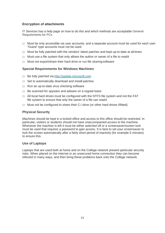# **Encryption of attachments**

IT Services has a help page on how to do this and which methods are acceptable General Requirements for PCs

- $\Box$  Must be only accessible via user accounts, and a separate account must be used for each user. "Guest" type accounts must not be used.
- $\Box$  Must be fully patched with the vendors' latest patches and kept up-to-date at all times
- $\Box$  Must use a file system that only allows the author or owner of a file to readit
- $\Box$  Must not export/share their hard drive or run file sharing software

#### **Special Requirements for Windows Machines**

- $\Box$  Be fully patched via [http://update.microsoft.com](http://update.microsoft.com/)
- $\Box$  Set to automatically download and install patches
- $\Box$  Run an up-to-date virus checking software
- $\Box$  Be scanned for spyware and adware on a regular basis
- $\Box$  All local hard drives must be configured with the NTFS file system and not the FAT file system to ensure that only the owner of a file can readit
- $\Box$  Must not be configured to share their C:/ drive (or other hard drives iffitted)

#### **Physical Security**

Machines should be kept in a locked office and access to this office should be restricted. In particular, visitors or students should not have unaccompanied access to the machine. Whenever the machine is left it must be either switched off or a screensaver/screen lock must be used that requires a password to gain access. It is best to set your screensaver to lock the screen automatically after a fairly short period of inactivity (for example 5 minutes) to ensure this.

#### **Use of Laptops**

Laptops that are used both at home and on the College network present particular security risks. When placed on the internet or an unsecured home connection they can become infected in many ways, and then bring these problems back onto the College network.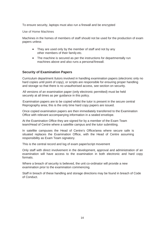To ensure security, laptops must also run a firewall and be encrypted

Use of Home Machines

Machines in the homes of members of staff should not be used for the production of exam papers unless

- They are used only by the member of staff and not by any other members of their family etc.
- The machine is secured as per the instructions for departmentally run machines above and also runs a personal firewall.

# **Security of Examination Papers**

Curriculum department /tutors involved in handling examination papers (electronic only no hard copies until point of copy), or scripts are responsible for ensuring proper handling and storage so that there is no unauthorised access, see section on security.

All versions of an examination paper (only electronic permitted) must be held securely at all times as per guidance in this policy.

Examination papers are to be copied whilst the tutor is present in the secure central Reprography area; this is the only time hard copy papers are issued.

Once copied examination papers are then immediately transferred to the Examination Office with relevant accompanying information in a sealed envelope.

At the Examination Office they are signed for by a member of the Exam Team team/Head of Centre where a satellite campus and the tutor submitting.

In satellite campuses the Head of Centre's Office/area where secure safe is situated replaces the Examination Office, with the Head of Centre assuming responsibility as Exam Team signatory.

This is the central record and log of exam paper/script movement

Only staff with direct involvement in the development, approval and administration of an examination will have access to the examination in both electronic and hard copy formats.

Where a breach of security is believed, the unit co-ordinator will provide a new examination prior to the examination commencing.

Staff in breach of these handling and storage directions may be found in breach of Code of Conduct.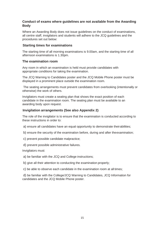# **Conduct of exams where guidelines are not available from the Awarding Body**

Where an Awarding Body does not issue guidelines on the conduct of examinations, all centre staff, invigilators and students will adhere to the JCQ guidelines and the procedures set out below:

# **Starting times for examinations**

The starting time of all morning examinations is 9.00am, and the starting time of all afternoon examinations is 1.30pm.

#### **The examination room**

Any room in which an examination is held must provide candidates with appropriate conditions for taking the examination.

The JCQ Warning to Candidates poster and the JCQ Mobile Phone poster must be displayed in a prominent place outside the examination room.

The seating arrangements must prevent candidates from overlooking (intentionally or otherwise) the work of others.

Invigilators must create a seating plan that shows the exact position of each candidate in the examination room. The seating plan must be available to an awarding body upon request.

# **Invigilation arrangements (See also Appendix 2)**

The role of the invigilator is to ensure that the examination is conducted according to these instructions in order to:

- a) ensure all candidates have an equal opportunity to demonstrate theirabilities;
- b) ensure the security of the examination before, during and after theexamination;
- c) prevent possible candidate malpractice;
- d) prevent possible administrative failures.

Invigilators must:

- a) be familiar with the JCQ and College instructions;
- b) give all their attention to conducting the examination properly;
- c) be able to observe each candidate in the examination room at all times;

d) be familiar with the College/JCQ Warning to Candidates, JCQ Information for candidates and the JCQ Mobile Phone poster.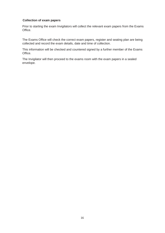#### **Collection of exam papers**

Prior to starting the exam Invigilators will collect the relevant exam papers from the Exams Office.

The Exams Office will check the correct exam papers, register and seating plan are being collected and record the exam details, date and time of collection.

This information will be checked and countered signed by a further member of the Exams Office.

The Invigilator will then proceed to the exams room with the exam papers in a sealed envelope.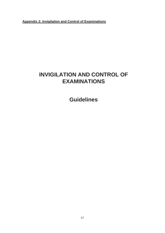**Appendix 2: Invigilation and Control of Examinations**

# **INVIGILATION AND CONTROL OF EXAMINATIONS**

**Guidelines**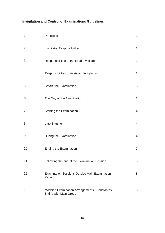# **Invigilation and Control of Examinations Guidelines**

| 1.  | Principles                                                                | 3              |
|-----|---------------------------------------------------------------------------|----------------|
| 2.  | <b>Invigilator Responsibilities</b>                                       | 3              |
| 3.  | Responsibilities of the Lead Invigilator                                  | 3              |
| 4.  | Responsibilities of Assistant Invigilators                                | 3              |
| 5.  | <b>Before the Examination</b>                                             | 3              |
| 6.  | The Day of the Examination                                                | 3              |
| 7.  | <b>Starting the Examination</b>                                           | $\overline{4}$ |
| 8.  | <b>Late Starting</b>                                                      | $\overline{4}$ |
| 9.  | During the Examination                                                    | $\overline{4}$ |
| 10. | <b>Ending the Examination</b>                                             | $\overline{7}$ |
| 11. | Following the end of the Examination Session                              | 8              |
| 12. | <b>Examination Sessions Outside Main Examination</b><br>Period            | 8              |
| 13. | Modified Examination Arrangements - Candidates<br>Sitting with Main Group | 8              |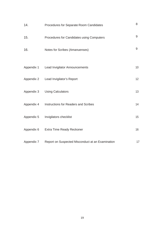| 14.        | Procedures for Separate Room Candidates          | 8  |
|------------|--------------------------------------------------|----|
| 15.        | Procedures for Candidates using Computers        | 9  |
| 16.        | Notes for Scribes (Amanuenses)                   | 9  |
|            |                                                  |    |
|            | Appendix 1 Lead Invigilator Announcements        | 10 |
|            | Appendix 2 Lead Invigilator's Report             | 12 |
| Appendix 3 | <b>Using Calculators</b>                         | 13 |
| Appendix 4 | Instructions for Readers and Scribes             | 14 |
| Appendix 5 | Invigilators checklist                           | 15 |
| Appendix 6 | Extra Time Ready Reckoner                        | 16 |
| Appendix 7 | Report on Suspected Misconduct at an Examination | 17 |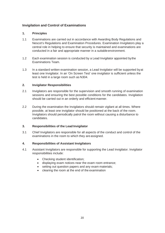# **Invigilation and Control of Examinations**

#### <span id="page-19-0"></span>**1. Principles**

- 1.1 Examinations are carried out in accordance with Awarding Body Regulations and Nescot's Regulations and Examination Procedures. Examination Invigilators play a central role in helping to ensure that security is maintained and examinations are conducted in a fair and appropriate manner in a suitableenvironment.
- 1.2 Each examination session is conducted by a Lead Invigilator appointed bythe Examinations Team.
- 1.3 In a standard written examination session, a Lead Invigilator will be supported byat least one Invigilator. In an 'On Screen Test' one invigilator is sufficient unless the test is held in a large room such as N304.

#### <span id="page-19-1"></span>**2. Invigilator Responsibilities**

- 2.1 Invigilators are responsible for the supervision and smooth running of examination sessions and ensuring the best possible conditions for the candidates. Invigilation should be carried out in an orderly and efficient manner.
- 2.2 During the examination the Invigilators should remain vigilant at all times. Where possible, at least one invigilator should be positioned at the back of the room. Invigilators should periodically patrol the room without causing a disturbance to candidates.

#### <span id="page-19-2"></span>**3. Responsibilities of the Lead Invigilator**

3.1 Chief Invigilators are responsible for all aspects of the conduct and control of the examinations in the room to which they are assigned.

#### <span id="page-19-3"></span>**4. Responsibilities of Assistant Invigilators**

- 4.1 Assistant Invigilators are responsible for supporting the Lead Invigilator. Invigilator responsibilities include:
	- Checking student identification;
	- displaying exam notices near the exam room entrance;
	- setting out question papers and any exam materials;
	- clearing the room at the end of the examination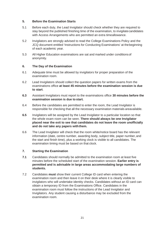## **5. Before the Examination Starts**

- 5.1 Before each duty, the Lead Invigilator should check whether they are required to stay beyond the published finishing time of the examination, to invigilatecandidates with Access Arrangements who are permitted an extra timeallowance.
- 5.2 Invigilators are strongly advised to read the College Examinations Policy and the JCQ document entitled 'Instructions for Conducting Examinations' at thebeginning of each academic year.
- 5.3 All Higher Education examinations are sat and marked under conditions of anonymity.

#### <span id="page-20-0"></span>**6. The Day of the Examination**

- 6.1 Adequate time must be allowed by invigilators for proper preparation of the examination room.
- 6.2 Lead Invigilators should collect the question papers for written exams from the examinations office **at least 45 minutes before the examination session is due to start**.
- **6.3** Assistant Invigilators must report to the examinations office **30 minutes before the examination session is due to start.**
- 6.4 Before the candidates are permitted to enter the room, the Lead Invigilator is responsible for checking that all the necessary examination materials areavailable.
- **6.5** Invigilators will be assigned by the Lead Invigilator to a particular location so that the whole exam room can be seen. **There should always be one Invigilator placed near the exit to see that candidates do not leave the room unofficially and do not take any papers withthem.**
- 6.6 The Lead Invigilator will check that the room white/notice board has the relevant information (date, centre number, awarding body, subject title, paper number, and the start and finish time), plus a working clock is visible to all candidates. The examination timing must be based on that clock.

# <span id="page-20-1"></span>**7. Starting the Examination**

- **7.1** Candidates should normally be admitted to the examination room at least five minutes before the scheduled start of the examination session. **Earlier entry is permitted and is advisable in large areas accommodating large numbers of students.**
- 7.2 Candidates **must** show their current College ID card when entering the examination room and then leave it on their desk where it is clearly visible to invigilators who will undertake identity checks. Candidates without an ID card can obtain a temporary ID from the Examinations Office. Candidates in the examination room must follow the instructions of the Lead Invigilator and Invigilators. Any student causing a disturbance may be excluded from the examination room.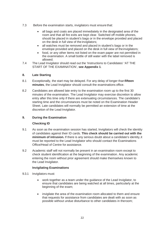- 7.3 Before the examination starts, invigilators must ensure that:
	- all bags and coats are placed immediately in the designated area of the room and that all fire exits are kept clear. Switched off mobile phones, should be placed in student's bags or in the envelope provided and placed on the desk in full view of the invigilators;
	- all watches must be removed and placed in student's bags or in the envelope provided and placed on the desk in full view of theinvigilators;
	- food, or any other items not listed on the exam paper are not permitted in the examination. A small bottle of still water with the label removed is allowed.
- 7.4 The Lead Invigilator should read out the 'Instructions to Candidates' 'AT THE START OF THE EXAMINATION', **see Appendix 1**.

#### <span id="page-21-0"></span>**8. Late Starting**

- 8.1 Exceptionally, the start may be delayed. For any delay of longer than**fifteen minutes**, the Lead Invigilator should consult the examinations office.
- 8.2 Candidates are allowed late entry to the examination room up to the first 30 minutes of the examination. The Lead Invigilator may exercise discretion to allow entry after this time only if there are extenuating circumstances. The candidate's starting time and the circumstances must be noted on the Examination Header Sheet. Late candidates will normally be permitted an extension of time at the discretion of the Lead Invigilator.

# **9. During the Examination**

#### **Checking ID**

- 9.1 As soon as the examination session has started, Invigilators will check the identity of candidates against their ID cards. **This check should be carried out with the minimum of intrusion.** If there is any serious doubt about a candidate's identity,it must be reported to the Lead Invigilator who should contact the Examinations Office/Head of Centre for assistance.
- 9.2 Academic staff will not normally be present in an examination room except to check student identification at the beginning of the examination. Any academic entering the room without prior agreement should make themselves known to the Lead Invigilator.

#### **Invigilating Examinations**

- 9.3.1 Invigilators must:
	- work together as a team under the guidance of the Lead Invigilator, to ensure that candidates are being watched at all times, particularly at the beginning of the exam;
	- invigilate the area of the examination room allocated to them and ensure that requests for assistance from candidates are dealt with as soon as possible without undue disturbance to other candidates in theroom;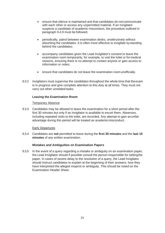- ensure that silence is maintained and that candidates do not communicate with each other or access any unpermitted material. If an Invigilator suspects a candidate of academic misconduct, the procedure outlined in paragraph 9.4.9 must be followed;
- periodically, patrol between examination desks, unobtrusively without disturbing the candidates. It is often more effective to invigilate bystanding behind the candidates;
- accompany candidates given the Lead Invigilator's consent to leave the examination room temporarily, for example, to visit the toilet or formedical reasons, ensuring there is no attempt to contact anyone or gain access to information or notes;
- ensure that candidates do not leave the examination room unofficially.
- 9.3.2 Invigilators must supervise the candidates throughout the whole time that theexam is in progress and give complete attention to this duty at all times. They must not carry out other unrelated tasks.

#### **Leaving the Examination Room**

#### Temporary Absence

9.3.3 Candidates may be allowed to leave the examination for a short period after the first 30 minutes but only if an invigilator is available to escort them. Absences, including repeated visits to the toilet, are recorded. Any attempt to gain anunfair advantage during this period will be treated as academicmisconduct.

#### Early Departures

9.3.4 Candidates are **not** permitted to leave during the **first 30 minutes** and the **last 15 minutes** of any written examination.

#### **Mistakes and Ambiguities on Examination Papers**

9.3.5 In the event of a query regarding a mistake or ambiguity on an examination paper, the Lead Invigilator should if possible consult the person responsible for settingthe paper. In cases of severe delay to the resolution of a query, the Lead Invigilator should instruct candidates to explain at the beginning of their answers, how they have interpreted the alleged misprint or ambiguity. This should be noted on the Examination Header Sheet.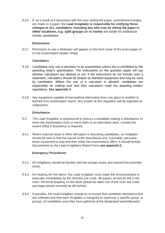9.3.6 If, as a result of a discussion with the tutor setting the paper, amendment changes are made to a paper, the **Lead Invigilator is responsible for notifying those changes to ALL candidates, including any who may be sitting the paper in other locations, e.g. split groups or in rooms** set aside for additional needs candidates.

#### **Dictionaries**

9.3.7 Permission to use a dictionary will appear on the front cover of the exam paper or on the Examination Header Sheet.

#### **Calculators**

- 9.3.8 Candidates may use a calculator in an examination unless this is prohibited by the awarding body's specification. The instructions on the question paper will say whether calculators are allowed or not. If the instructions do not include such a statement, calculators should be treated as standard equipment and may be used by candidates. Where the use of a calculator is allowed, candidates are responsible for making sure that their calculators meet the awarding bodies' regulations. **See appendix 3**.
- 9.3.9 Any equipment capable of transmitting information from one place to another is banned from examination rooms. Any breach of this regulation will be regarded as malpractice.

#### **Disturbance**

- 9.4 The Lead Invigilator is empowered to instruct a candidate making a disturbance to leave the examination room or move them to an alternative desk. Contact the exams office if assistance is required.
- 9.4.1 Where external noise or other disruption is disturbing candidates, an invigilator should be sent to find the source of the disturbance and, if possible, persuade those concerned to stop and then notify the examinations office. It should be fully documented on the Lead Invigilators Report Form **see appendix2**.

#### **Emergency Procedures**

- 9.4.2 All Invigilators should be familiar with the escape routes and nearest fireassembly areas.
- 9.4.3 On hearing the fire alarm, the Lead Invigilator must make the announcement to evacuate immediately by the shortest exit route. All papers should be left in the room. Personal property on the desk should be taken out of the room but coats and bags should normally be left behind.
- 9.4.4 If possible, the Lead Invigilator should try to ensure that candidate attendance lists are collected and that each Invigilator is assigned to supervise a specific group, or groups, of candidates once they have gathered at the designated assemblypoint.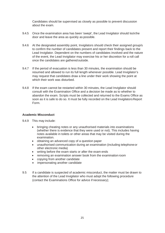Candidates should be supervised as closely as possible to prevent discussion about the exam.

- 9.4.5 Once the examination area has been 'swept', the Lead Invigilator should lockthe door and leave the area as quickly as possible.
- 9.4.6 At the designated assembly point, Invigilators should check their assigned group/s to confirm the number of candidates present and report their findings back to the Lead Invigilator. Dependent on the numbers of candidates involved and the nature of the event, the Lead Invigilator may exercise his or her discretion for a roll call once the candidates are gathered outside.
- 9.4.7 If the period of evacuation is less than 30 minutes, the examination should be resumed and allowed to run its full length whenever possible. Lead Invigilator's may request that candidates draw a line under their work showing the point at which their work was disturbed.
- 9.4.8 If the exam cannot be restarted within 30 minutes, the Lead Invigilator should consult with the Examination Office and a decision be made as to whether to abandon the exam. Scripts must be collected and returned to the Exams Office as soon as it is safe to do so. It must be fully recorded on the Lead Invigilators Report Form.

#### **Academic Misconduct**

- 9.4.9 This may include:
	- bringing cheating notes or any unauthorised materials into examinations (whether there is evidence that they were used or not). This includes having notes available in toilets or other areas that may be visited during the examination.
	- obtaining an advanced copy of a question paper
	- unauthorised communication during an examination (including telephoneor other electronic media)
	- writing before the exam starts or after the exam ends
	- removing an examination answer book from the examination room
	- copying from another candidate
	- impersonating another candidate
- 9.5 If a candidate is suspected of academic misconduct, the matter must be drawn to the attention of the Lead Invigilator who must adopt the following procedure (contact the Examinations Office for advice if necessary);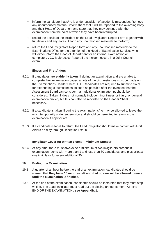- inform the candidate that s/he is under suspicion of academic misconduct. Remove any unauthorised material, inform them that it will be reported to the awarding body and their Head of Department and state that they may continue with the examination from the point at which they have been interrupted.
- record the details of the incident on the Lead Invigilators Report Form togetherwith full details and any notes. Attach any unauthorised materials to theform;
- return the Lead Invigilators Report form and any unauthorised materials to the Examinations Office for the attention of the Head of Examination Services who will either inform the Head of Department for an internal examination or complete a JCQ Malpractice Report if the incident occurs in a Joint Council exam.

#### **Illness and First Aiders**

- 9.5.1 If candidates are **suddenly taken ill** during an examination and are unable to complete their examination paper, a note of the circumstances must be made on the Examinations Header Sheet. H.E. Candidates are required to submit a claim for extenuating circumstances as soon as possible after the event so that the Assessment Board can consider if an additional exam attempt should be considered. 'Taken ill' does not normally include minor illness or injury, or general examination anxiety but this can also be recorded on the Header Sheet if necessary.
- 9.5.2 If a candidate is taken ill during the examination s/he may be allowed to leave the room temporarily under supervision and should be permitted to return to the examination if appropriate.
- 9.5.3 If a candidate is too ill to return, the Lead Invigilator should make contact with First Aiders on duty through Reception Ext 3012.

#### **Invigilator Cover for written exams – Minimum Number**

9.5.4 At any time, there must always be a minimum of two invigilators present in examination rooms with more than 1 and less than 30 candidates; and plus atleast one invigilator for every additional 30.

#### <span id="page-25-0"></span>**10. Ending the Examination**

- **10.1** A quarter of an hour before the end of an examination, candidates should be warned that **they have 15 minutes left and that no one will be allowed toleave until the examination is finished.**
- 10.2 At the end of the examination, candidates should be instructed that they must stop writing. The Lead Invigilator must read out the closing announcement 'AT THE END OF THE EXAMINATION', **see Appendix 1**.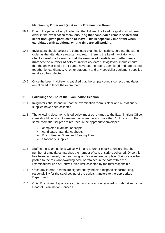#### **Maintaining Order and Quiet in the Examination Room**

- **10.3** During the period of script collection that follows, the Lead Invigilator shouldkeep order in the examination room, **ensuring that candidates remain seated and silent until given permission to leave. This is especially important when candidates with additional writing time are stillworking.**
- 10.4 Invigilators should collect the completed examination scripts, sort into the same order as the attendance register and return them to the Lead Invigilator who **checks carefully to ensure that the number of candidates in attendance matches the number of sets of scripts collected**. Invigilators should ensure that the answer books front pages have been properly completed and papers tied together by candidates. All other stationary and any specialist equipment supplied must also be collected.
- 10.5 Once the Lead Invigilator is satisfied that the scripts count is correct, candidates are allowed to leave the exam room.

#### <span id="page-26-0"></span>**11. Following the End of the ExaminationSession**

- 11.1 Invigilators should ensure that the examination room is clear and all stationary supplies have been collected.
- 11.2 The following documents listed below must be returned to the ExaminationsOffice. Care should be taken to ensure that when there is more than 1 HE exam in the same room that scripts are returned in the appropriate envelopes:
	- completed examinationscripts:
	- candidates' attendance sheets:
	- Exam Header Sheet and Seating Plan;
	- Stationary Supplies
- 11.3 Staff in the Examinations Office will make a further check to ensure that the number of candidates matches the number of sets of scripts collected. Once this has been confirmed, the Lead Invigilator's duties are complete. Scripts are either posted to the relevant awarding body or retained in the safe within the Examination/Head of Centre Office until collected by the tutorresponsible.
- 11.4 Once any internal scripts are signed out by the staff responsible formarking, responsibility for the safekeeping of the scripts transfers to the appropriate Department.
- 11.5 Chief Examiners Reports are copied and any action required is undertaken by the Head of Examination Services.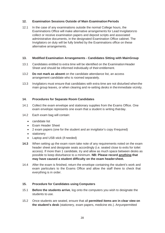## **12. Examination Sessions Outside of Main ExaminationPeriods**

12.1 In the case of any examinations outside the normal College hours, the Examinations Office will make alternative arrangements for Lead Invigilators to collect or receive examination papers and deposit scripts and associated administrative documents, in the designated Examination Office cabinet. The Invigilators on duty will be fully briefed by the Examinations office on these alternative arrangements.

#### **13. Modified Examination Arrangements - Candidates Sitting with MainGroup**

- 13.1 Candidates entitled to extra time will be identified on the ExaminationHeader Sheet and should be informed individually of their entitlement.
- 13.2 **Do not mark as absent** on the candidate attendance list, an access arrangement candidate who is roomed separately.
- 13.3 Invigilators must ensure that candidates with extra time are not disturbed whenthe main group leaves, or when clearing and re-setting desks in theimmediate vicinity.

#### <span id="page-27-0"></span>**14. Procedures for Separate Room Candidates**

- 14.1 Collect the exam envelope and stationary supplies from the Exams Office. One exam envelope represents one exam that a student is writing thatday.
- 14.2 Each exam bag will contain:
	- candidate list
	- Exam Header Sheet
	- 2 exam papers (one for the student and an invigilator's copy ifrequired)
	- stationery
	- Laptop and USB stick (if needed)
- **14.3** When setting up the exam room take note of any requirements noted on the exam header sheet and designate seats accordingly (i.e. seated close to exits for toilet access). If more than 1 candidate, try and allow as much space between desks as possible to keep disturbance to a minimum. **NB: Please record anything that may have caused a student difficulty on the exam headersheet.**
- 14.4 After the exam is finished, return the envelope containing the student's work and exam particulars to the Exams Office and allow the staff there to check that everything is in order.

#### **15. Procedure for Candidates using Computers**

- 15.1 **Before the students arrive**, log onto the computers you wish to designate the students to use.
- 15.2 Once students are seated, ensure that all **permitted items are in clear view on the student's desk** (stationery, exam papers, medicine etc.). Anyunpermitted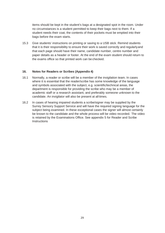items should be kept in the student's bags at a designated spot in the room. Under no circumstances is a student permitted to keep their bags next to them. If a student needs their coat, the contents of their pockets must be emptied into their bags before the exam starts.

15.3 Give students' instructions on printing or saving to a USB stick. Remind students that it is their responsibility to ensure their work is saved correctly and regularlyand that each page should have their name, candidate number, centre number and paper details as a header or footer. At the end of the exam student should return to the exams office so that printed work can be checked.

#### **16. Notes for Readers or Scribes (Appendix 4)**

- 16.1 Normally, a reader or scribe will be a member of the invigilation team. In cases where it is essential that the reader/scribe has some knowledge of the language and symbols associated with the subject, e.g. scientific/technical areas, the department is responsible for providing the scribe who may be a member of academic staff or a research assistant, and preferably someone unknown to the candidate. An invigilator will also be present at all times.
- 16.2 In cases of hearing impaired students a scribe/signer may be supplied by the Surrey Sensory Support Service and will have the required signing language for the subject being examined. In these exceptional cases the signer will almost certainly be known to the candidate and the whole process will be video recorded. The video is retained by the Examinations Office. See appendix 5 for Reader and Scribe **Instructions**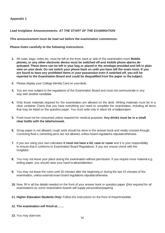## **Appendix 1**

# **Lead Invigilator Announcements:** *AT THE START OF THE EXAMINATION*

#### *This announcement must be read out before the examination commences.*

#### *Please listen carefully to the following instructions.*

- **1.** All coats, bags, notes etc. must be left at the front, back or side of the examination room **Mobile phones, or any other electronic device must be switched off and mobile phone alarms deactivated. These items can be left in your bag or placed in the envelope provided and left in plain view on your desk. Do not switch your phone back on until you have left the exam room. If you are found to have any prohibited items in your possession even if switched off, you will be reported to the Examination Board and could be disqualified from the paper or thesubject.**
- **2.** Please display your College Identity Card on yourdesk.
- **3.** You are now subject to the regulations of the Examination Board and must not communicate in any way with another candidate.
- **4.** Only those materials required for the examination are allowed on the desk. Writing materials must be in a clear container Check that you have everything you need to complete the examination, including all items that may be listed on the question paper. You must write only in black ink orballpointpen.
- **5.** Food must not be consumed unless required for medical purposes. **Any drinks must be in a small clear bottle with the labelremoved.**
- **6.** Scrap paper is not allowed; rough work should be done in the answer book and neatly crossed through. Correcting fluid o correcting pens are not allowed, unless board regulations stipulateotherwise.
- **7.** If you are using your own calculator **it must not have a lid, case or cover** and it is your responsibility to ensure that it conforms to Examination Board Regulations. If you are unsure check with the Invigilator.
- **8.** You may not leave your place during the examination without permission. If you require more material e.g. writing paper, you should raise your hand to attractattention.
- **9.** You may not leave the room until 30 minutes after the beginning or during the last 15 minutes of the examination, unless external exam board regulations stipulateotherwise.
- **10.** Now, fill in all the details needed on the front of your answer book or question paper. **(***Not required for all examinations as some examination boards will supply personalisedpapers***).**
- **11. Higher Education Students Only:** Follow the instructions on the front of thepinkbooklet.

#### **12. The examination will finishat…….**

**13.** You may startnow.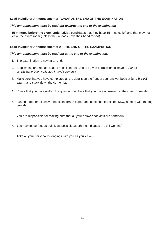# **Lead Invigilator Announcements: TOWARDS THE END OF THE EXAMINATION**

#### *This announcement must be read out towards the end of the examination*

**15 minutes before the exam ends** (advise candidates that they have 15 minutes left and that may not leave the exam room (unless they already have their hand raised)

#### **Lead Invigilator Announcements: AT THE END OF THE EXAMINATION**

#### *This announcement must be read out at the end of the examination.*

- 1. The examination is now at an end.
- 2. Stop writing and remain seated and silent until you are given permission to leave. (A*fter all scripts have been collected in and counted.*)
- 3. Make sure that you have completed all the details on the front of your answer booklet **(***and if a HE*  **exam)** and stuck down the corner flap.
- 4. Check that you have written the question numbers that you have answered, in the columnprovided.
- 5. Fasten together all answer booklets, graph paper and loose sheets (except MCQ sheets) with the tag provided.
- 6. You are responsible for making sure that all your answer booklets are handedin.
- 7. You may leave (but as quietly as possible as other candidates are still working).
- 8. Take all your personal belongings with you as you leave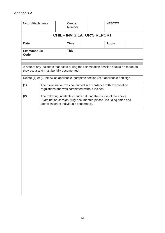| No of Attachments                                                                                                                                                                                                      |                                                                                                                                                                                   |  |  | Centre<br>Number |  |                                                 | <b>NESCOT</b>                                                |  |
|------------------------------------------------------------------------------------------------------------------------------------------------------------------------------------------------------------------------|-----------------------------------------------------------------------------------------------------------------------------------------------------------------------------------|--|--|------------------|--|-------------------------------------------------|--------------------------------------------------------------|--|
| <b>CHIEF INVIGILATOR'S REPORT</b>                                                                                                                                                                                      |                                                                                                                                                                                   |  |  |                  |  |                                                 |                                                              |  |
| <b>Date</b>                                                                                                                                                                                                            | <b>Time</b><br><b>Room</b>                                                                                                                                                        |  |  |                  |  |                                                 |                                                              |  |
| Exam/module<br>Code                                                                                                                                                                                                    |                                                                                                                                                                                   |  |  | <b>Title</b>     |  |                                                 |                                                              |  |
| A note of any incidents that occur during the Examination session should be made as<br>they occur and must be fully documented.<br>Delete (1) or (2) below as applicable, complete section (2) if applicable and sign. |                                                                                                                                                                                   |  |  |                  |  |                                                 |                                                              |  |
| (1)                                                                                                                                                                                                                    |                                                                                                                                                                                   |  |  |                  |  | regulations and was completed without incident. | The Examination was conducted in accordance with examination |  |
| (2)                                                                                                                                                                                                                    | The following incidents occurred during the course of the above<br>Examination session (fully documented please, including times and<br>identification of individuals concerned). |  |  |                  |  |                                                 |                                                              |  |
|                                                                                                                                                                                                                        |                                                                                                                                                                                   |  |  |                  |  |                                                 |                                                              |  |
|                                                                                                                                                                                                                        |                                                                                                                                                                                   |  |  |                  |  |                                                 |                                                              |  |
|                                                                                                                                                                                                                        |                                                                                                                                                                                   |  |  |                  |  |                                                 |                                                              |  |
|                                                                                                                                                                                                                        |                                                                                                                                                                                   |  |  |                  |  |                                                 |                                                              |  |
|                                                                                                                                                                                                                        |                                                                                                                                                                                   |  |  |                  |  |                                                 |                                                              |  |
|                                                                                                                                                                                                                        |                                                                                                                                                                                   |  |  |                  |  |                                                 |                                                              |  |
|                                                                                                                                                                                                                        |                                                                                                                                                                                   |  |  |                  |  |                                                 |                                                              |  |
|                                                                                                                                                                                                                        |                                                                                                                                                                                   |  |  |                  |  |                                                 |                                                              |  |
|                                                                                                                                                                                                                        |                                                                                                                                                                                   |  |  |                  |  |                                                 |                                                              |  |
|                                                                                                                                                                                                                        |                                                                                                                                                                                   |  |  |                  |  |                                                 |                                                              |  |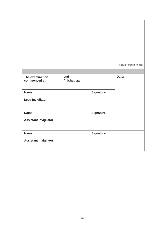|                                  |                     |                   | Please continue on back |
|----------------------------------|---------------------|-------------------|-------------------------|
|                                  |                     |                   |                         |
| The examination<br>commenced at: | and<br>finished at: |                   | Date:                   |
| Name:                            |                     | <b>Signature:</b> |                         |
| <b>Lead Invigilator</b>          |                     |                   |                         |
| Name:                            |                     | Signature:        |                         |
| <b>Assistant Invigilator</b>     |                     |                   |                         |
| Name:                            |                     | <b>Signature:</b> |                         |
| <b>Assistant Invigilator</b>     |                     |                   |                         |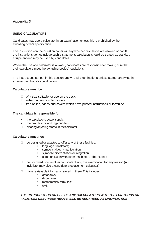# **Appendix 3**

# **USING CALCULATORS**

Candidates may use a calculator in an examination unless this is prohibited by the awarding body's specification.

The instructions on the question paper will say whether calculators are allowed or not. If the instructions do not include such a statement, calculators should be treated as standard equipment and may be used by candidates.

Where the use of a calculator is allowed, candidates are responsible for making sure that their calculators meet the awarding bodies' regulations.

The instructions set out in this section apply to all examinations unless stated otherwise in an awarding body's specification.

#### **Calculators must be:**

- $\Box$  of a size suitable for use on the desk;
- $\Box$  either battery or solar powered;
- $\Box$  free of lids, cases and covers which have printed instructions or formulae.

#### **The candidate is responsible for:**

- the calculator's power supply;
- the calculator's working condition;
- $\Box$  clearing anything stored in the calculator.

#### **Calculators must not:**

- □ be designed or adapted to offer any of these facilities:-
	- **Induage translators;**
	- **symbolic algebra manipulation;**
	- symbolic differentiation or integration;
	- **EXECOMMUNICATION With other machines or the internet;**
- $\Box$  be borrowed from another candidate during the examination for any reason (An invigilator may give a candidate areplacement calculator)
- $\Box$  have retrievable information stored in them. This includes:
	- databanks;
	- **dictionaries:**
	- mathematical formulas:
	- $\blacksquare$  text.

#### *THE INTRODUCTION OR USE OF ANY CALCULATORS WITH THE FUNCTIONS OR FACILITIES DESCRIBED ABOVE WILL BE REGARDED AS MALPRACTICE*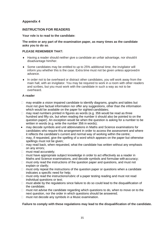# **Appendix 4**

# **INSTRUCTION FOR READERS**

#### **Your role is to read to the candidate:**

#### **The entire or any part of the examination paper, as many times as the candidate asks you to do so**.

#### **PLEASE REMEMBER THAT:**

- ♦ Having a reader should neither give a candidate an unfair advantage, nor shouldit disadvantage him/her.
- ♦ Some candidates may be entitled to up to 25% additional time; the invigilator will inform you whether this is the case. Extra time must not be given unless approvedin advance.
- ♦ In order not to be overheard or distract other candidates, you will work away from the main hall, with an invigilator. You may be required to work in a room with other readers and scribes, but you must work with the candidate in such a way as not to be overheard.

#### **A reader**

- $\Box$  may enable a vision impaired candidate to identify diagrams, graphs and tables but must not give factual information nor offer any suggestions, other than the information which would be available on the paper for sighted candidates;
- $\Box$  may read numbers printed in figures as words (e.g. 356 would be read as three hundred and fifty six, but when reading the number it should also be pointed to on the question paper). An exception would be when the question is asking for a number to be written in words (e.g. write the number 356 in words);
- may decode symbols and unit abbreviations in Maths and Science examinations for candidates who require this arrangement in order to access the assessment and where it reflects the candidate's current and normal way of working within the centre;
- $\Box$  may, if requested, give the spelling of a word which appears on the paper but otherwise spellings must not be given;
- $\Box$  may read back, when requested, what the candidate has written without any emphasis on any errors;
- □ must read accurately;
- $\Box$  must have appropriate subject knowledge in order to act effectively as a reader in Maths and Science examinations, and decode symbols and formulae withaccuracy;
- $\Box$  must only read the instructions of the question paper and questions, and must not explain or clarify;
- $\Box$  must only repeat the instructions of the question paper or questions when a candidate indicates a specific need for help;
- $\Box$  must only read the instructions/rubric of a paper testing reading and must not read individual questions or text;
- $\Box$  must abide by the regulations since failure to do so could lead to the disqualification of the candidate;
- $\Box$  must not advise the candidate regarding which questions to do, when to move on to the next question, nor the order in which questions should be answered;
- $\Box$  must not decode any symbols in a Music examination.

#### **Failure to comply with these regulations may lead to the disqualification of the candidate.**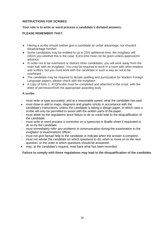## **INSTRUCTIONS FOR SCRIBES**

#### **Your role is to write or word process a candidate's dictated answers.**

#### **PLEASE REMEMBER THAT:**

- ♦ Having a scribe should neither give a candidate an unfair advantage, nor shouldit disadvantage him/her.
- ♦ Some candidates may be entitled to up to 25% additional time; the invigilator will inform you whether this is the case. Extra time must not be given unless approvedin advance.
- ♦ In order not to be overheard or distract other candidates, you will work away from the main hall, with an invigilator. You may be required to work in a room with otherreaders and scribes, but you must work with the candidate in such a way as not to be overheard.
- ♦ The candidate may be required to dictate spelling and punctuation for Modern Foreign Language papers; please check with the invigilator.
- ♦ A copy of form 2, JCQ/Scribe must be completed and attached to the script, with the letter of permissionfrom the appropriate awarding body.

#### **A scribe**

- $\Box$  must write or type accurately, and at a reasonable speed, what the candidate has said;
- must draw or add to maps, diagrams and graphs strictly in accordance with the candidate's instructions, unless the candidate is taking a design paper, in which case a scribe will only be permitted to assist with the written parts of the paper;
- $\Box$  must abide by the regulations since failure to do so could lead to the disqualification of the candidate;
- $\Box$  must write or word process a correction on a typescript or Braille sheet if requested to do so by the candidate;
- $\Box$  must immediately refer any problems in communication during the examination to the invigilator or examinations officer;
- $\Box$  must not give factual help to the candidate or indicate when the answer is complete;
- $\Box$  must not advise the candidate on which questions to do, when to move on to the next question, or the order in which questions should be answered;
- may, at the candidate's request, read back what has been recorded.

**Failure to comply with these regulations may lead to the disqualification of the candidate.**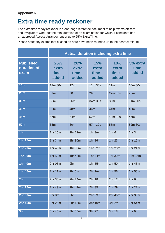# **Extra time ready reckoner**

The extra time ready reckoner is a one-page reference document to help exams officers and invigilators work out the total duration of an examination for which a candidate has an approved Access Arrangement of up to 25% Extra Time.

Please note: any exams that exceed an hour have been rounded up to the nearest minute.

|                                         | <b>Actual duration including extra time</b> |                               |                                      |                                      |                           |
|-----------------------------------------|---------------------------------------------|-------------------------------|--------------------------------------|--------------------------------------|---------------------------|
| <b>Published</b><br>duration of<br>exam | <b>25%</b><br>extra<br>time<br>added        | 20%<br>extra<br>time<br>added | <b>15%</b><br>extra<br>time<br>added | <b>10%</b><br>extra<br>time<br>added | 5% extra<br>time<br>added |
| <b>10m</b>                              | 12m 30s                                     | 12m                           | 11m 30s                              | 11 <sub>m</sub>                      | 10m 30s                   |
| 25m                                     | 32m                                         | 30m                           | 29m                                  | 27m 30s                              | 26m                       |
| <b>30m</b>                              | 38m                                         | 36m                           | 34m 30s                              | 33m                                  | 31m 30s                   |
| <b>40m</b>                              | 50 <sub>m</sub>                             | <b>48m</b>                    | <b>46m</b>                           | 44m                                  | 42m                       |
| <b>45m</b>                              | 57m                                         | 54m                           | 52m                                  | 49m 30s                              | 47m                       |
| <b>50m</b>                              | 63m                                         | 60 <sub>m</sub>               | 57m 30s                              | 55m                                  | 52m 30s                   |
| 1hr                                     | 1hr 15m                                     | 1hr 12m                       | 1hr 9m                               | 1hr 6m                               | 1hr 3m                    |
| <b>1hr 15m</b>                          | 1hr 34m                                     | 1hr 30m                       | 1hr 26m                              | 1hr 23m                              | 1hr 19m                   |
| <b>1hr 20m</b>                          | 1hr 40m                                     | 1hr 36m                       | 1hr 32m                              | 1hr 28m                              | 1hr 24m                   |
| <b>1hr 30m</b>                          | 1hr 53m                                     | 1hr 48m                       | 1hr 44m                              | 1hr 39m                              | 1 hr 35m                  |
| <b>1hr 40m</b>                          | 2hr 05m                                     | 2hr                           | 1hr 55m                              | 1hr 50m                              | 1hr 45m                   |
| 1hr 45m                                 | 2hr 11m                                     | 2hr 6m                        | $2hr$ 1m                             | 1hr 56m                              | 1hr 50m                   |
| 2 <sub>hr</sub>                         | 2hr 30m                                     | 2hr 24m                       | 2hr 18m                              | 2hr 12m                              | 2hr 6m                    |
| <b>2hr 15m</b>                          | 2hr 49m                                     | 2hr 42m                       | 2hr 35m                              | 2hr 29m                              | 2hr 22m                   |
| <b>2hr 30m</b>                          | 3hr 8m                                      | 3hr                           | 2hr 53m                              | 2hr 45m                              | 2hr 38m                   |
| <b>2hr 45m</b>                          | 3hr 26m                                     | 3hr 18m                       | 3hr 10m                              | 3hr 2m                               | 2hr 54m                   |
| 3hr                                     | 3hr 45m                                     | 3hr 36m                       | 3hr 27m                              | 3hr 18m                              | 3hr 9m                    |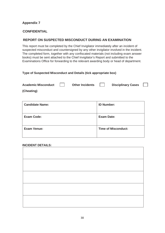# **Appendix 7**

# **CONFIDENTIAL**

# **REPORT ON SUSPECTED MISCONDUCT DURING AN EXAMINATION**

This report must be completed by the Chief Invigilator immediately after an incident of suspected misconduct and countersigned by any other invigilator involved in the incident. The completed form, together with any confiscated materials (not including exam answer books) must be sent attached to the Chief Invigilator's Report and submitted to the Examinations Office for forwarding to the relevant awarding body or head of department.

# **Type of Suspected Misconduct and Details (tick appropriate box)**

| <b>Academic Misconduct</b> | <b>Other Incidents</b> | <b>Disciplinary Cases</b> | $\sim$ 1 $\sim$ 1 |
|----------------------------|------------------------|---------------------------|-------------------|
| (Cheating)                 |                        |                           |                   |

| <b>Candidate Name:</b> | <b>ID Number:</b>          |
|------------------------|----------------------------|
| <b>Exam Code:</b>      | <b>Exam Date:</b>          |
| <b>Exam Venue:</b>     | <b>Time of Misconduct:</b> |

#### **INCIDENT DETAILS:**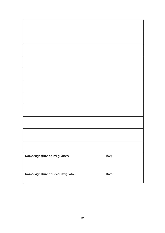| Name/signature of Invigilators:     | Date: |
|-------------------------------------|-------|
|                                     |       |
|                                     |       |
|                                     |       |
| Name/signature of Lead Invigilator: | Date: |
|                                     |       |